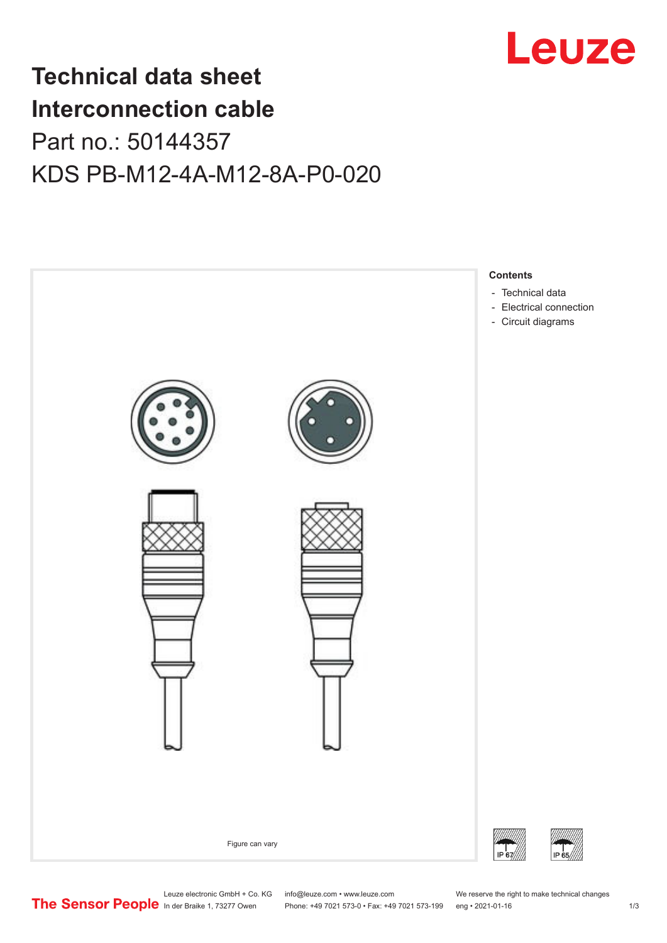

# **Technical data sheet Interconnection cable** Part no.: 50144357

KDS PB-M12-4A-M12-8A-P0-020



Leuze electronic GmbH + Co. KG info@leuze.com • www.leuze.com We reserve the right to make technical changes<br>
The Sensor People in der Braike 1, 73277 Owen Phone: +49 7021 573-0 • Fax: +49 7021 573-199 eng • 2021-01-16

Phone: +49 7021 573-0 • Fax: +49 7021 573-199 eng • 2021-01-16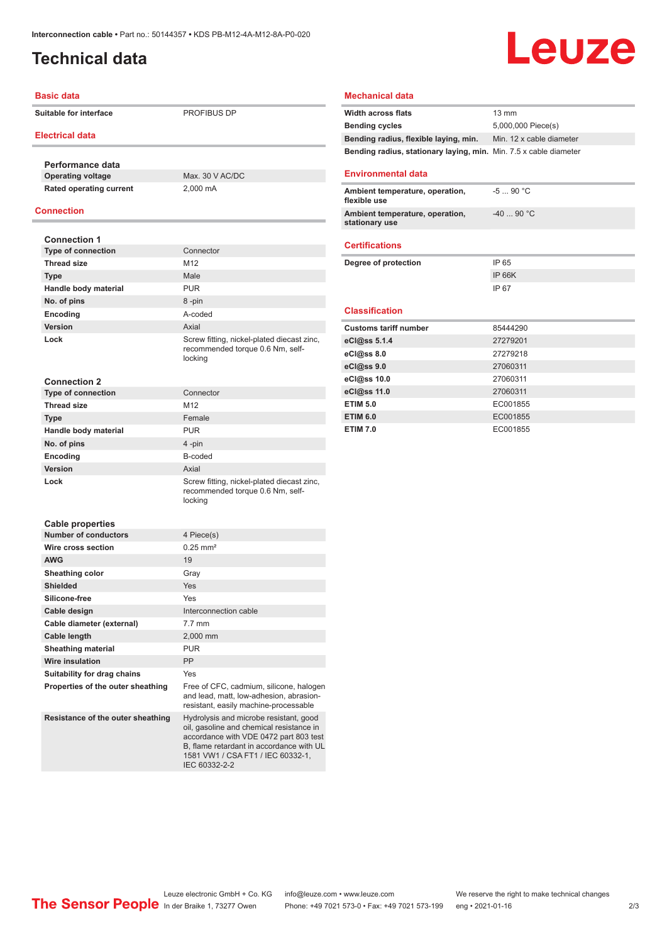## <span id="page-1-0"></span>**Technical data**

# Leuze

#### **Basic data**

**Suitable for interface** PROFIBUS DP

#### **Electrical data**

**Performance data Operating voltage** Max. 30 V AC/DC **Rated operating current** 2,000 mA

#### **Connection**

| <b>Connection 1</b>               |                                                                                                                                                                                                               |
|-----------------------------------|---------------------------------------------------------------------------------------------------------------------------------------------------------------------------------------------------------------|
| <b>Type of connection</b>         | Connector                                                                                                                                                                                                     |
| <b>Thread size</b>                | M12                                                                                                                                                                                                           |
| <b>Type</b>                       | Male                                                                                                                                                                                                          |
| Handle body material              | <b>PUR</b>                                                                                                                                                                                                    |
| No. of pins                       | 8-pin                                                                                                                                                                                                         |
| Encoding                          | A-coded                                                                                                                                                                                                       |
| Version                           | Axial                                                                                                                                                                                                         |
| Lock                              | Screw fitting, nickel-plated diecast zinc,<br>recommended torque 0.6 Nm, self-<br>locking                                                                                                                     |
| <b>Connection 2</b>               |                                                                                                                                                                                                               |
| <b>Type of connection</b>         | Connector                                                                                                                                                                                                     |
| <b>Thread size</b>                | M12                                                                                                                                                                                                           |
| <b>Type</b>                       | Female                                                                                                                                                                                                        |
| Handle body material              | <b>PUR</b>                                                                                                                                                                                                    |
| No. of pins                       | 4-pin                                                                                                                                                                                                         |
| Encoding                          | B-coded                                                                                                                                                                                                       |
| Version                           | Axial                                                                                                                                                                                                         |
| Lock                              | Screw fitting, nickel-plated diecast zinc,<br>recommended torque 0.6 Nm, self-<br>locking                                                                                                                     |
| <b>Cable properties</b>           |                                                                                                                                                                                                               |
| <b>Number of conductors</b>       | 4 Piece(s)                                                                                                                                                                                                    |
| Wire cross section                | $0.25$ mm <sup>2</sup>                                                                                                                                                                                        |
| <b>AWG</b>                        | 19                                                                                                                                                                                                            |
| Sheathing color                   | Gray                                                                                                                                                                                                          |
| <b>Shielded</b>                   | Yes                                                                                                                                                                                                           |
| Silicone-free                     | Yes                                                                                                                                                                                                           |
| Cable design                      | Interconnection cable                                                                                                                                                                                         |
| Cable diameter (external)         | $7.7$ mm                                                                                                                                                                                                      |
| <b>Cable length</b>               | 2.000 mm                                                                                                                                                                                                      |
| <b>Sheathing material</b>         | <b>PUR</b>                                                                                                                                                                                                    |
| <b>Wire insulation</b>            | PP                                                                                                                                                                                                            |
| Suitability for drag chains       | Yes                                                                                                                                                                                                           |
| Properties of the outer sheathing | Free of CFC, cadmium, silicone, halogen<br>and lead, matt, low-adhesion, abrasion-<br>resistant, easily machine-processable                                                                                   |
| Resistance of the outer sheathing | Hydrolysis and microbe resistant, good<br>oil, gasoline and chemical resistance in<br>accordance with VDE 0472 part 803 test<br>B, flame retardant in accordance with UL<br>1581 VW1 / CSA FT1 / IEC 60332-1, |

IEC 60332-2-2

#### **Mechanical data**

| <b>Width across flats</b>                                         | $13 \text{ mm}$          |
|-------------------------------------------------------------------|--------------------------|
| <b>Bending cycles</b>                                             | 5,000,000 Piece(s)       |
| Bending radius, flexible laying, min.                             | Min. 12 x cable diameter |
| Bending radius, stationary laying, min. Min. 7.5 x cable diameter |                          |
| <b>Environmental data</b>                                         |                          |
| Ambient temperature, operation,<br>flexible use                   | $-590 °C$                |
| Ambient temperature, operation,<br>stationary use                 | $-40$ 90 °C              |
| <b>Certifications</b>                                             |                          |
| Degree of protection                                              | IP 65                    |
|                                                                   | <b>IP 66K</b>            |
|                                                                   |                          |
|                                                                   | IP 67                    |
| <b>Classification</b>                                             |                          |
| <b>Customs tariff number</b>                                      | 85444290                 |
| eCl@ss 5.1.4                                                      | 27279201                 |
| eCl@ss 8.0                                                        | 27279218                 |
| eCl@ss 9.0                                                        | 27060311                 |
| eCl@ss 10.0                                                       | 27060311                 |
| eCl@ss 11.0                                                       | 27060311                 |
| <b>ETIM 5.0</b>                                                   | EC001855                 |
| <b>ETIM 6.0</b>                                                   | EC001855                 |